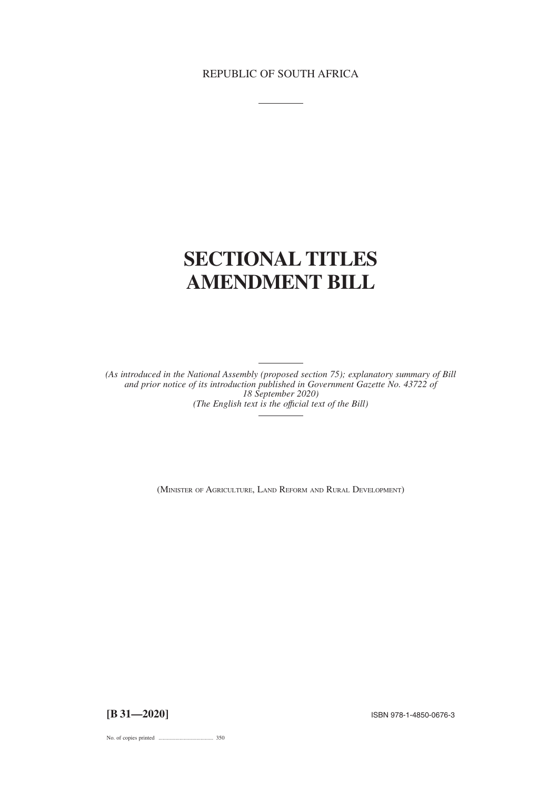## REPUBLIC OF SOUTH AFRICA

# **SECTIONAL TITLES AMENDMENT BILL**

*(As introduced in the National Assembly (proposed section 75); explanatory summary of Bill and prior notice of its introduction published in Government Gazette No. 43722 of 18 September 2020) (The English text is the offıcial text of the Bill)*

(MINISTER OF AGRICULTURE, LAND REFORM AND RURAL DEVELOPMENT)

**[B 31—2020]** ISBN 978-1-4850-0676-3

No. of copies printed ....................................... 350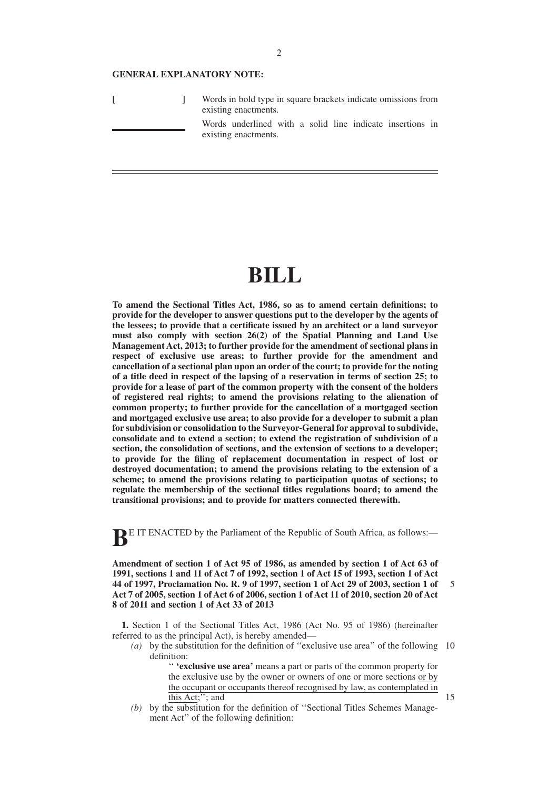#### **GENERAL EXPLANATORY NOTE:**

|  | Words in bold type in square brackets indicate omissions from<br>existing enactments. |
|--|---------------------------------------------------------------------------------------|
|  | Words underlined with a solid line indicate insertions in<br>existing enactments.     |

# **BILL**

**To amend the Sectional Titles Act, 1986, so as to amend certain definitions; to provide for the developer to answer questions put to the developer by the agents of the lessees; to provide that a certificate issued by an architect or a land surveyor must also comply with section 26(2) of the Spatial Planning and Land Use Management Act, 2013; to further provide for the amendment of sectional plans in respect of exclusive use areas; to further provide for the amendment and cancellation of a sectional plan upon an order of the court; to provide for the noting of a title deed in respect of the lapsing of a reservation in terms of section 25; to provide for a lease of part of the common property with the consent of the holders of registered real rights; to amend the provisions relating to the alienation of common property; to further provide for the cancellation of a mortgaged section and mortgaged exclusive use area; to also provide for a developer to submit a plan for subdivision or consolidation to the Surveyor-General for approval to subdivide, consolidate and to extend a section; to extend the registration of subdivision of a section, the consolidation of sections, and the extension of sections to a developer; to provide for the filing of replacement documentation in respect of lost or destroyed documentation; to amend the provisions relating to the extension of a scheme; to amend the provisions relating to participation quotas of sections; to regulate the membership of the sectional titles regulations board; to amend the transitional provisions; and to provide for matters connected therewith.**

**BE IT ENACTED** by the Parliament of the Republic of South Africa, as follows:-

**Amendment of section 1 of Act 95 of 1986, as amended by section 1 of Act 63 of 1991, sections 1 and 11 of Act 7 of 1992, section 1 of Act 15 of 1993, section 1 of Act 44 of 1997, Proclamation No. R. 9 of 1997, section 1 of Act 29 of 2003, section 1 of Act 7 of 2005, section 1 of Act 6 of 2006, section 1 of Act 11 of 2010, section 20 of Act 8 of 2011 and section 1 of Act 33 of 2013**

**1.** Section 1 of the Sectional Titles Act, 1986 (Act No. 95 of 1986) (hereinafter referred to as the principal Act), is hereby amended—

*(a)* by the substitution for the definition of ''exclusive use area'' of the following 10 definition:

> '' **'exclusive use area'** means a part or parts of the common property for the exclusive use by the owner or owners of one or more sections or by the occupant or occupants thereof recognised by law, as contemplated in this Act;''; and

*(b)* by the substitution for the definition of ''Sectional Titles Schemes Management Act'' of the following definition:

15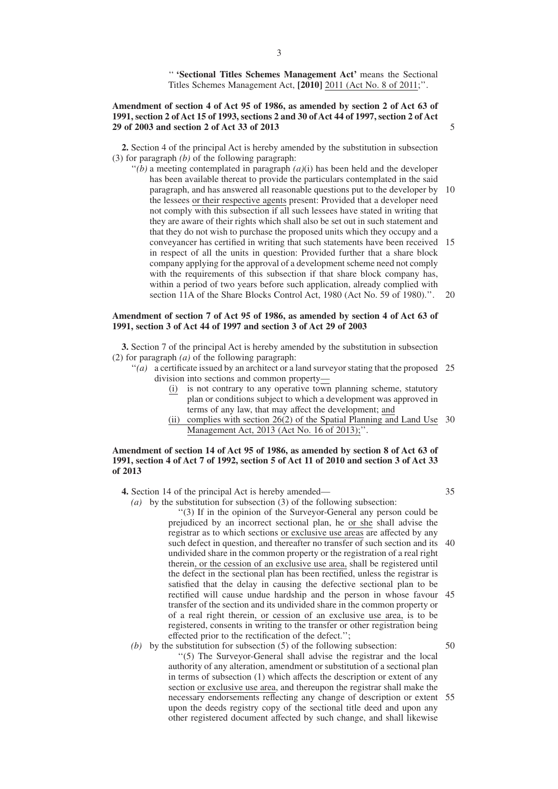'' **'Sectional Titles Schemes Management Act'** means the Sectional Titles Schemes Management Act, **[2010]** 2011 (Act No. 8 of 2011;''.

## **Amendment of section 4 of Act 95 of 1986, as amended by section 2 of Act 63 of 1991, section 2 of Act 15 of 1993, sections 2 and 30 of Act 44 of 1997, section 2 of Act 29 of 2003 and section 2 of Act 33 of 2013**

**2.** Section 4 of the principal Act is hereby amended by the substitution in subsection (3) for paragraph *(b)* of the following paragraph:

 $''(b)$  a meeting contemplated in paragraph  $(a)(i)$  has been held and the developer has been available thereat to provide the particulars contemplated in the said paragraph, and has answered all reasonable questions put to the developer by the lessees or their respective agents present: Provided that a developer need not comply with this subsection if all such lessees have stated in writing that they are aware of their rights which shall also be set out in such statement and that they do not wish to purchase the proposed units which they occupy and a conveyancer has certified in writing that such statements have been received in respect of all the units in question: Provided further that a share block company applying for the approval of a development scheme need not comply with the requirements of this subsection if that share block company has, within a period of two years before such application, already complied with section 11A of the Share Blocks Control Act, 1980 (Act No. 59 of 1980).''. 10 15  $20$ 

## **Amendment of section 7 of Act 95 of 1986, as amended by section 4 of Act 63 of 1991, section 3 of Act 44 of 1997 and section 3 of Act 29 of 2003**

**3.** Section 7 of the principal Act is hereby amended by the substitution in subsection (2) for paragraph *(a)* of the following paragraph:

- "(a) a certificate issued by an architect or a land surveyor stating that the proposed 25 division into sections and common property—
	- (i) is not contrary to any operative town planning scheme, statutory plan or conditions subject to which a development was approved in terms of any law, that may affect the development; and
	- (ii) complies with section 26(2) of the Spatial Planning and Land Use 30 Management Act, 2013 (Act No. 16 of 2013);''.

#### **Amendment of section 14 of Act 95 of 1986, as amended by section 8 of Act 63 of 1991, section 4 of Act 7 of 1992, section 5 of Act 11 of 2010 and section 3 of Act 33 of 2013**

**4.** Section 14 of the principal Act is hereby amended—

*(a)* by the substitution for subsection (3) of the following subsection:

''(3) If in the opinion of the Surveyor-General any person could be prejudiced by an incorrect sectional plan, he or she shall advise the registrar as to which sections or exclusive use areas are affected by any such defect in question, and thereafter no transfer of such section and its 40 undivided share in the common property or the registration of a real right therein, or the cession of an exclusive use area, shall be registered until the defect in the sectional plan has been rectified, unless the registrar is satisfied that the delay in causing the defective sectional plan to be rectified will cause undue hardship and the person in whose favour 45 transfer of the section and its undivided share in the common property or of a real right therein, or cession of an exclusive use area, is to be registered, consents in writing to the transfer or other registration being effected prior to the rectification of the defect.'';

#### *(b)* by the substitution for subsection (5) of the following subsection: ''(5) The Surveyor-General shall advise the registrar and the local authority of any alteration, amendment or substitution of a sectional plan in terms of subsection (1) which affects the description or extent of any section or exclusive use area, and thereupon the registrar shall make the necessary endorsements reflecting any change of description or extent 55upon the deeds registry copy of the sectional title deed and upon any other registered document affected by such change, and shall likewise 50

5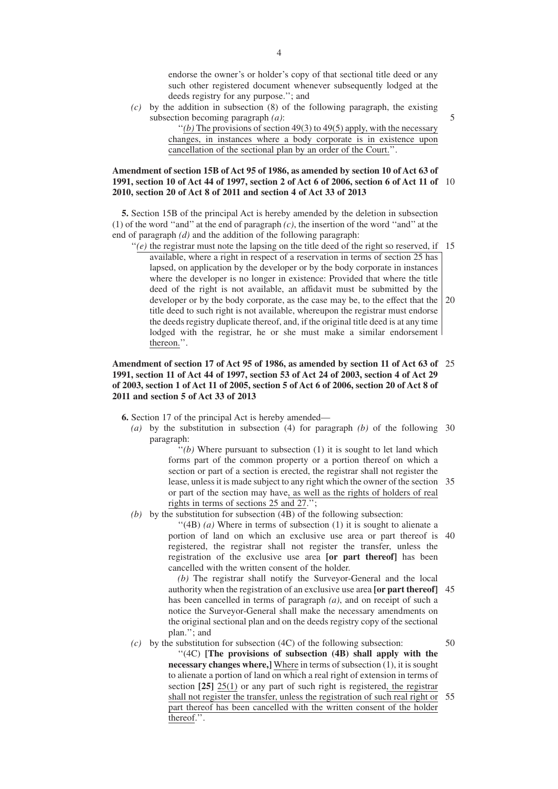endorse the owner's or holder's copy of that sectional title deed or any such other registered document whenever subsequently lodged at the deeds registry for any purpose.''; and

*(c)* by the addition in subsection (8) of the following paragraph, the existing subsection becoming paragraph *(a)*:

5

 $''(b)$  The provisions of section 49(3) to 49(5) apply, with the necessary changes, in instances where a body corporate is in existence upon cancellation of the sectional plan by an order of the Court.''.

## **Amendment of section 15B of Act 95 of 1986, as amended by section 10 of Act 63 of 1991, section 10 of Act 44 of 1997, section 2 of Act 6 of 2006, section 6 of Act 11 of** 10 **2010, section 20 of Act 8 of 2011 and section 4 of Act 33 of 2013**

**5.** Section 15B of the principal Act is hereby amended by the deletion in subsection (1) of the word ''and'' at the end of paragraph *(c)*, the insertion of the word ''and'' at the end of paragraph *(d)* and the addition of the following paragraph:

 $''(e)$  the registrar must note the lapsing on the title deed of the right so reserved, if 15 available, where a right in respect of a reservation in terms of section 25 has lapsed, on application by the developer or by the body corporate in instances where the developer is no longer in existence: Provided that where the title deed of the right is not available, an affidavit must be submitted by the developer or by the body corporate, as the case may be, to the effect that the title deed to such right is not available, whereupon the registrar must endorse the deeds registry duplicate thereof, and, if the original title deed is at any time lodged with the registrar, he or she must make a similar endorsement thereon.''. 20

## **Amendment of section 17 of Act 95 of 1986, as amended by section 11 of Act 63 of** 25 **1991, section 11 of Act 44 of 1997, section 53 of Act 24 of 2003, section 4 of Act 29 of 2003, section 1 of Act 11 of 2005, section 5 of Act 6 of 2006, section 20 of Act 8 of 2011 and section 5 of Act 33 of 2013**

**6.** Section 17 of the principal Act is hereby amended—

*(a)* by the substitution in subsection (4) for paragraph *(b)* of the following 30 paragraph:

> $''(b)$  Where pursuant to subsection  $(1)$  it is sought to let land which forms part of the common property or a portion thereof on which a section or part of a section is erected, the registrar shall not register the lease, unless it is made subject to any right which the owner of the section 35 or part of the section may have, as well as the rights of holders of real rights in terms of sections 25 and 27.'';

*(b)* by the substitution for subsection (4B) of the following subsection:

 $\lq(4B)$  *(a)* Where in terms of subsection (1) it is sought to alienate a portion of land on which an exclusive use area or part thereof is 40 registered, the registrar shall not register the transfer, unless the registration of the exclusive use area **[or part thereof]** has been cancelled with the written consent of the holder.

*(b)* The registrar shall notify the Surveyor-General and the local authority when the registration of an exclusive use area **[or part thereof]** 45 has been cancelled in terms of paragraph *(a)*, and on receipt of such a notice the Surveyor-General shall make the necessary amendments on the original sectional plan and on the deeds registry copy of the sectional plan.''; and

*(c)* by the substitution for subsection (4C) of the following subsection: ''(4C) **[The provisions of subsection (4B) shall apply with the necessary changes where,]** Where in terms of subsection (1), it is sought to alienate a portion of land on which a real right of extension in terms of section **[25]** 25(1) or any part of such right is registered, the registrar shall not register the transfer, unless the registration of such real right or part thereof has been cancelled with the written consent of the holder thereof.''. 50 55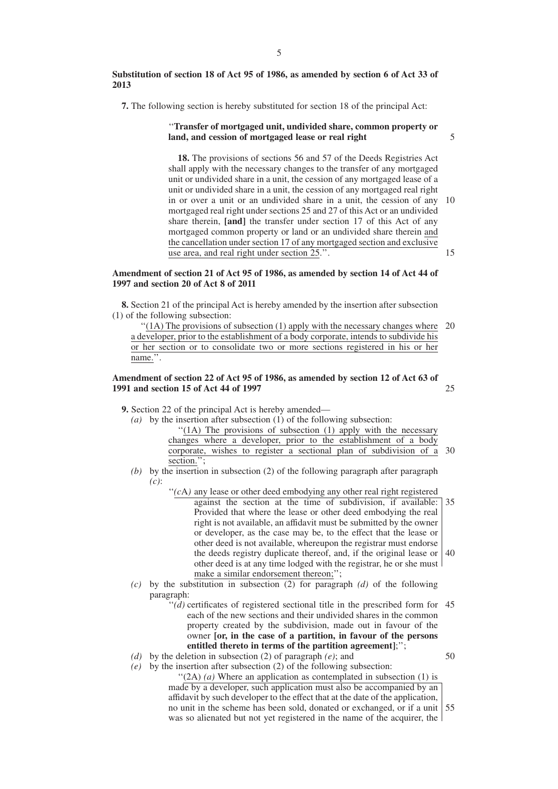#### **Substitution of section 18 of Act 95 of 1986, as amended by section 6 of Act 33 of 2013**

**7.** The following section is hereby substituted for section 18 of the principal Act:

#### ''**Transfer of mortgaged unit, undivided share, common property or land, and cession of mortgaged lease or real right**

**18.** The provisions of sections 56 and 57 of the Deeds Registries Act shall apply with the necessary changes to the transfer of any mortgaged unit or undivided share in a unit, the cession of any mortgaged lease of a unit or undivided share in a unit, the cession of any mortgaged real right in or over a unit or an undivided share in a unit, the cession of any mortgaged real right under sections 25 and 27 of this Act or an undivided share therein, **[and]** the transfer under section 17 of this Act of any mortgaged common property or land or an undivided share therein and the cancellation under section 17 of any mortgaged section and exclusive use area, and real right under section 25.''. 10 15

## **Amendment of section 21 of Act 95 of 1986, as amended by section 14 of Act 44 of 1997 and section 20 of Act 8 of 2011**

**8.** Section 21 of the principal Act is hereby amended by the insertion after subsection (1) of the following subsection:

 $''(1)$ . The provisions of subsection  $(1)$  apply with the necessary changes where a developer, prior to the establishment of a body corporate, intends to subdivide his or her section or to consolidate two or more sections registered in his or her name.".  $20$ 

#### **Amendment of section 22 of Act 95 of 1986, as amended by section 12 of Act 63 of 1991 and section 15 of Act 44 of 1997** 25

**9.** Section 22 of the principal Act is hereby amended—

- *(a)* by the insertion after subsection (1) of the following subsection: "(1A) The provisions of subsection (1) apply with the necessary changes where a developer, prior to the establishment of a body corporate, wishes to register a sectional plan of subdivision of a 30 section.":
- *(b)* by the insertion in subsection (2) of the following paragraph after paragraph *(c)*:
	- $f'(c)$  any lease or other deed embodying any other real right registered

against the section at the time of subdivision, if available: Provided that where the lease or other deed embodying the real right is not available, an affidavit must be submitted by the owner or developer, as the case may be, to the effect that the lease or other deed is not available, whereupon the registrar must endorse the deeds registry duplicate thereof, and, if the original lease or 40 other deed is at any time lodged with the registrar, he or she must make a similar endorsement thereon;''; 35

- *(c)* by the substitution in subsection (2) for paragraph *(d)* of the following paragraph:
	- "(d) certificates of registered sectional title in the prescribed form for 45 each of the new sections and their undivided shares in the common property created by the subdivision, made out in favour of the owner **[or, in the case of a partition, in favour of the persons entitled thereto in terms of the partition agreement]**;'';

*(d)* by the deletion in subsection (2) of paragraph *(e)*; and

*(e)* by the insertion after subsection (2) of the following subsection:

" $(2A)$  (*a*) Where an application as contemplated in subsection (1) is made by a developer, such application must also be accompanied by an affidavit by such developer to the effect that at the date of the application, no unit in the scheme has been sold, donated or exchanged, or if a unit was so alienated but not yet registered in the name of the acquirer, the 55

5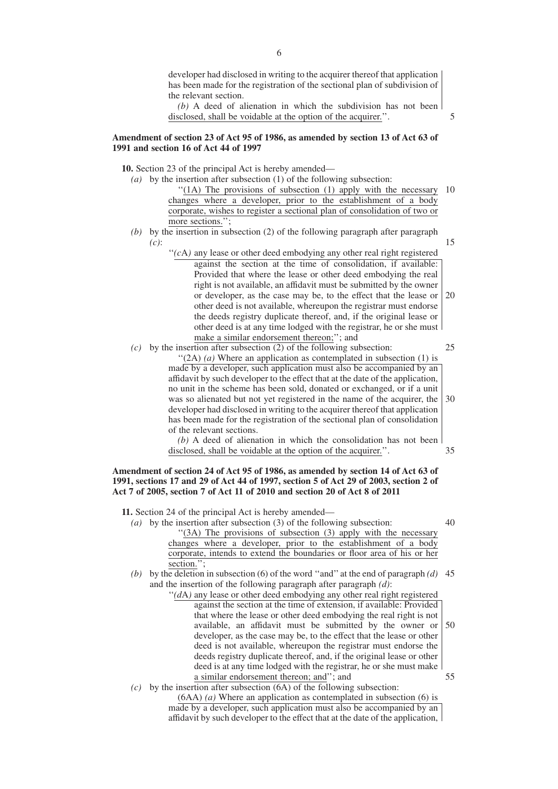developer had disclosed in writing to the acquirer thereof that application has been made for the registration of the sectional plan of subdivision of the relevant section.

*(b)* A deed of alienation in which the subdivision has not been disclosed, shall be voidable at the option of the acquirer.''.

5

#### **Amendment of section 23 of Act 95 of 1986, as amended by section 13 of Act 63 of 1991 and section 16 of Act 44 of 1997**

**10.** Section 23 of the principal Act is hereby amended—

- *(a)* by the insertion after subsection (1) of the following subsection: "(1A) The provisions of subsection (1) apply with the necessary
	- changes where a developer, prior to the establishment of a body corporate, wishes to register a sectional plan of consolidation of two or more sections."; 10
- *(b)* by the insertion in subsection (2) of the following paragraph after paragraph *(c)*: 15
	- $f'(c)$  any lease or other deed embodying any other real right registered against the section at the time of consolidation, if available: Provided that where the lease or other deed embodying the real right is not available, an affidavit must be submitted by the owner or developer, as the case may be, to the effect that the lease or other deed is not available, whereupon the registrar must endorse the deeds registry duplicate thereof, and, if the original lease or other deed is at any time lodged with the registrar, he or she must make a similar endorsement thereon;''; and 20
- *(c)* by the insertion after subsection (2) of the following subsection: ''(2A) *(a)* Where an application as contemplated in subsection (1) is made by a developer, such application must also be accompanied by an affidavit by such developer to the effect that at the date of the application, no unit in the scheme has been sold, donated or exchanged, or if a unit was so alienated but not yet registered in the name of the acquirer, the developer had disclosed in writing to the acquirer thereof that application has been made for the registration of the sectional plan of consolidation of the relevant sections. 25 30

*(b)* A deed of alienation in which the consolidation has not been disclosed, shall be voidable at the option of the acquirer.''.

### **Amendment of section 24 of Act 95 of 1986, as amended by section 14 of Act 63 of 1991, sections 17 and 29 of Act 44 of 1997, section 5 of Act 29 of 2003, section 2 of Act 7 of 2005, section 7 of Act 11 of 2010 and section 20 of Act 8 of 2011**

**11.** Section 24 of the principal Act is hereby amended—

*(a)* by the insertion after subsection (3) of the following subsection: "(3A) The provisions of subsection (3) apply with the necessary changes where a developer, prior to the establishment of a body corporate, intends to extend the boundaries or floor area of his or her section."; 40

*(b)* by the deletion in subsection (6) of the word ''and'' at the end of paragraph *(d)* 45 and the insertion of the following paragraph after paragraph *(d)*:

- "(dA) any lease or other deed embodying any other real right registered against the section at the time of extension, if available: Provided that where the lease or other deed embodying the real right is not available, an affidavit must be submitted by the owner or developer, as the case may be, to the effect that the lease or other deed is not available, whereupon the registrar must endorse the deeds registry duplicate thereof, and, if the original lease or other deed is at any time lodged with the registrar, he or she must make a similar endorsement thereon; and''; and 50 55
- *(c)* by the insertion after subsection (6A) of the following subsection:

(6AA) *(a)* Where an application as contemplated in subsection (6) is made by a developer, such application must also be accompanied by an affidavit by such developer to the effect that at the date of the application,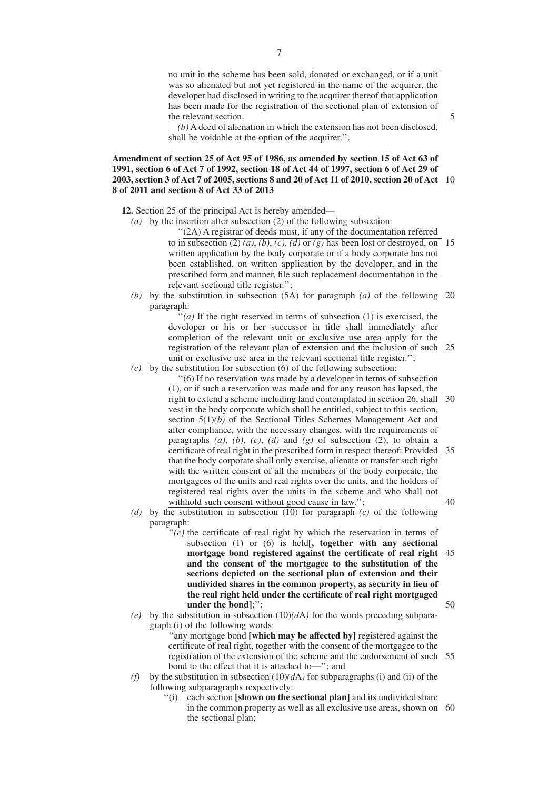no unit in the scheme has been sold, donated or exchanged, or if a unit was so alienated but not yet registered in the name of the acquirer, the developer had disclosed in writing to the acquirer thereof that application has been made for the registration of the sectional plan of extension of the relevant section.

5

*(b)* A deed of alienation in which the extension has not been disclosed, shall be voidable at the option of the acquirer.''.

## **Amendment of section 25 of Act 95 of 1986, as amended by section 15 of Act 63 of 1991, section 6 of Act 7 of 1992, section 18 of Act 44 of 1997, section 6 of Act 29 of 2003, section 3 of Act 7 of 2005, sections 8 and 20 of Act 11 of 2010, section 20 of Act** 10 **8 of 2011 and section 8 of Act 33 of 2013**

**12.** Section 25 of the principal Act is hereby amended—

*(a)* by the insertion after subsection (2) of the following subsection:

''(2A) A registrar of deeds must, if any of the documentation referred to in subsection (2)  $(a)$ ,  $(b)$ ,  $(c)$ ,  $(d)$  or  $(g)$  has been lost or destroyed, on written application by the body corporate or if a body corporate has not been established, on written application by the developer, and in the prescribed form and manner, file such replacement documentation in the relevant sectional title register.''; 15

*(b)* by the substitution in subsection (5A) for paragraph *(a)* of the following 20 paragraph:

"(*a*) If the right reserved in terms of subsection (1) is exercised, the developer or his or her successor in title shall immediately after completion of the relevant unit or exclusive use area apply for the registration of the relevant plan of extension and the inclusion of such 25 unit or exclusive use area in the relevant sectional title register.'';

*(c)* by the substitution for subsection (6) of the following subsection:

''(6) If no reservation was made by a developer in terms of subsection (1), or if such a reservation was made and for any reason has lapsed, the right to extend a scheme including land contemplated in section 26, shall vest in the body corporate which shall be entitled, subject to this section, section  $5(1)(b)$  of the Sectional Titles Schemes Management Act and after compliance, with the necessary changes, with the requirements of paragraphs  $(a)$ ,  $(b)$ ,  $(c)$ ,  $(d)$  and  $(g)$  of subsection  $(2)$ , to obtain a certificate of real right in the prescribed form in respect thereof: Provided that the body corporate shall only exercise, alienate or transfer such right with the written consent of all the members of the body corporate, the mortgagees of the units and real rights over the units, and the holders of registered real rights over the units in the scheme and who shall not withhold such consent without good cause in law."; 30 35 40

- *(d)* by the substitution in subsection (10) for paragraph *(c)* of the following paragraph:
	- $f'(c)$  the certificate of real right by which the reservation in terms of subsection (1) or (6) is held**[, together with any sectional mortgage bond registered against the certificate of real right** 45 **and the consent of the mortgagee to the substitution of the sections depicted on the sectional plan of extension and their undivided shares in the common property, as security in lieu of the real right held under the certificate of real right mortgaged under the bond]**;''; 50
- *(e)* by the substitution in subsection  $(10)(dA)$  for the words preceding subparagraph (i) of the following words:

''any mortgage bond **[which may be affected by]** registered against the certificate of real right, together with the consent of the mortgagee to the registration of the extension of the scheme and the endorsement of such 55 bond to the effect that it is attached to—''; and

- *(f)* by the substitution in subsection  $(10)(dA)$  for subparagraphs (i) and (ii) of the following subparagraphs respectively:
	- ''(i) each section **[shown on the sectional plan]** and its undivided share in the common property as well as all exclusive use areas, shown on 60the sectional plan;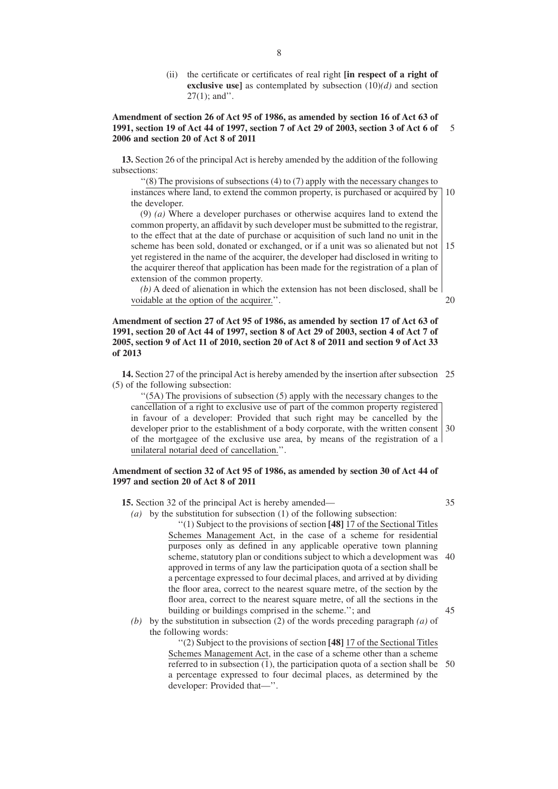(ii) the certificate or certificates of real right **[in respect of a right of exclusive use]** as contemplated by subsection (10)*(d)* and section  $27(1)$ ; and".

#### **Amendment of section 26 of Act 95 of 1986, as amended by section 16 of Act 63 of 1991, section 19 of Act 44 of 1997, section 7 of Act 29 of 2003, section 3 of Act 6 of 2006 and section 20 of Act 8 of 2011** 5

**13.** Section 26 of the principal Act is hereby amended by the addition of the following subsections:

 $\cdot$ (8) The provisions of subsections (4) to (7) apply with the necessary changes to instances where land, to extend the common property, is purchased or acquired by the developer.  $10$ 

(9) *(a)* Where a developer purchases or otherwise acquires land to extend the common property, an affidavit by such developer must be submitted to the registrar, to the effect that at the date of purchase or acquisition of such land no unit in the scheme has been sold, donated or exchanged, or if a unit was so alienated but not yet registered in the name of the acquirer, the developer had disclosed in writing to the acquirer thereof that application has been made for the registration of a plan of extension of the common property. 15

*(b)* A deed of alienation in which the extension has not been disclosed, shall be voidable at the option of the acquirer.''.

## **Amendment of section 27 of Act 95 of 1986, as amended by section 17 of Act 63 of 1991, section 20 of Act 44 of 1997, section 8 of Act 29 of 2003, section 4 of Act 7 of 2005, section 9 of Act 11 of 2010, section 20 of Act 8 of 2011 and section 9 of Act 33 of 2013**

**14.** Section 27 of the principal Act is hereby amended by the insertion after subsection 25 (5) of the following subsection:

''(5A) The provisions of subsection (5) apply with the necessary changes to the cancellation of a right to exclusive use of part of the common property registered in favour of a developer: Provided that such right may be cancelled by the developer prior to the establishment of a body corporate, with the written consent 30 of the mortgagee of the exclusive use area, by means of the registration of a unilateral notarial deed of cancellation.''.

#### **Amendment of section 32 of Act 95 of 1986, as amended by section 30 of Act 44 of 1997 and section 20 of Act 8 of 2011**

**15.** Section 32 of the principal Act is hereby amended—

35

20

*(a)* by the substitution for subsection (1) of the following subsection: ''(1) Subject to the provisions of section **[48]** 17 of the Sectional Titles Schemes Management Act, in the case of a scheme for residential purposes only as defined in any applicable operative town planning scheme, statutory plan or conditions subject to which a development was approved in terms of any law the participation quota of a section shall be a percentage expressed to four decimal places, and arrived at by dividing the floor area, correct to the nearest square metre, of the section by the floor area, correct to the nearest square metre, of all the sections in the building or buildings comprised in the scheme.''; and 40 45

*(b)* by the substitution in subsection (2) of the words preceding paragraph *(a)* of the following words:

> ''(2) Subject to the provisions of section **[48]** 17 of the Sectional Titles Schemes Management Act, in the case of a scheme other than a scheme referred to in subsection (1), the participation quota of a section shall be 50a percentage expressed to four decimal places, as determined by the developer: Provided that—''.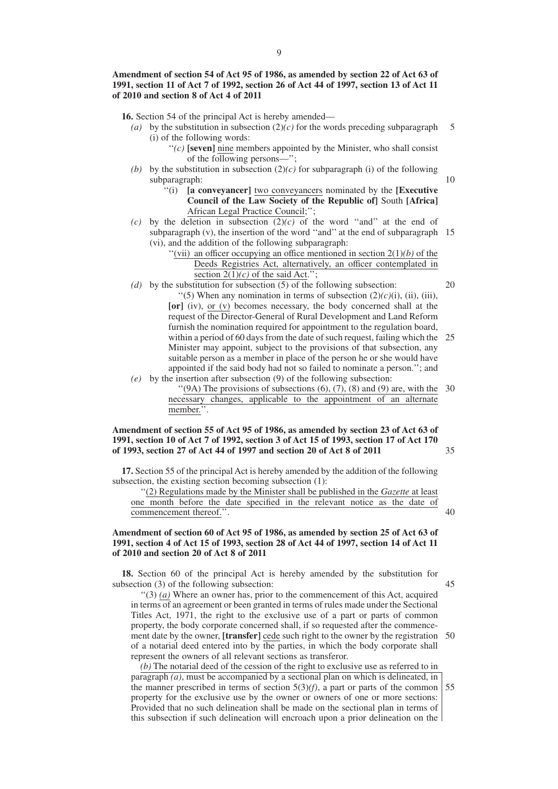## **Amendment of section 54 of Act 95 of 1986, as amended by section 22 of Act 63 of 1991, section 11 of Act 7 of 1992, section 26 of Act 44 of 1997, section 13 of Act 11 of 2010 and section 8 of Act 4 of 2011**

**16.** Section 54 of the principal Act is hereby amended—

- (a) by the substitution in subsection  $(2)(c)$  for the words preceding subparagraph (i) of the following words: 5
	- $''(c)$  **[seven]** nine members appointed by the Minister, who shall consist of the following persons—'';
- *(b)* by the substitution in subsection  $(2)(c)$  for subparagraph *(i)* of the following subparagraph:
	- ''(i) **[a conveyancer]** two conveyancers nominated by the **[Executive Council of the Law Society of the Republic of]** South **[Africa]** African Legal Practice Council;'';
- *(c)* by the deletion in subsection  $(2)(c)$  of the word "and" at the end of subparagraph (v), the insertion of the word ''and'' at the end of subparagraph 15 (vi), and the addition of the following subparagraph:
	- "(vii) an officer occupying an office mentioned in section  $2(1)(b)$  of the Deeds Registries Act, alternatively, an officer contemplated in section  $2(1)(c)$  of the said Act.";
- *(d)* by the substitution for subsection (5) of the following subsection: "(5) When any nomination in terms of subsection  $(2)(c)(i)$ , (ii), (iii), **[or]** (iv), or (v) becomes necessary, the body concerned shall at the request of the Director-General of Rural Development and Land Reform furnish the nomination required for appointment to the regulation board, within a period of 60 days from the date of such request, failing which the 25 Minister may appoint, subject to the provisions of that subsection, any suitable person as a member in place of the person he or she would have appointed if the said body had not so failed to nominate a person.''; and  $20$

*(e)* by the insertion after subsection (9) of the following subsection:

 $\cdot$  (9A) The provisions of subsections (6), (7), (8) and (9) are, with the necessary changes, applicable to the appointment of an alternate member. 30

### **Amendment of section 55 of Act 95 of 1986, as amended by section 23 of Act 63 of 1991, section 10 of Act 7 of 1992, section 3 of Act 15 of 1993, section 17 of Act 170 of 1993, section 27 of Act 44 of 1997 and section 20 of Act 8 of 2011**

**17.** Section 55 of the principal Act is hereby amended by the addition of the following subsection, the existing section becoming subsection (1):

''(2) Regulations made by the Minister shall be published in the *Gazette* at least one month before the date specified in the relevant notice as the date of commencement thereof.''.

### **Amendment of section 60 of Act 95 of 1986, as amended by section 25 of Act 63 of 1991, section 4 of Act 15 of 1993, section 28 of Act 44 of 1997, section 14 of Act 11 of 2010 and section 20 of Act 8 of 2011**

**18.** Section 60 of the principal Act is hereby amended by the substitution for subsection (3) of the following subsection:

 $''(3)$  (a) Where an owner has, prior to the commencement of this Act, acquired in terms of an agreement or been granted in terms of rules made under the Sectional Titles Act, 1971, the right to the exclusive use of a part or parts of common property, the body corporate concerned shall, if so requested after the commencement date by the owner, **[transfer]** cede such right to the owner by the registration of a notarial deed entered into by the parties, in which the body corporate shall represent the owners of all relevant sections as transferor. 50

*(b)* The notarial deed of the cession of the right to exclusive use as referred to in paragraph *(a)*, must be accompanied by a sectional plan on which is delineated, in the manner prescribed in terms of section  $5(3)(f)$ , a part or parts of the common property for the exclusive use by the owner or owners of one or more sections: Provided that no such delineation shall be made on the sectional plan in terms of this subsection if such delineation will encroach upon a prior delineation on the 55

40

45

35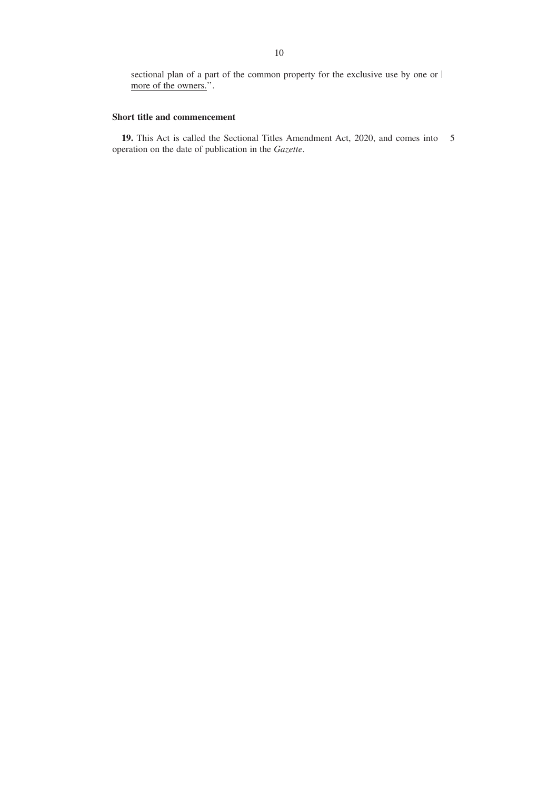sectional plan of a part of the common property for the exclusive use by one or more of the owners.".

## **Short title and commencement**

**19.** This Act is called the Sectional Titles Amendment Act, 2020, and comes into 5operation on the date of publication in the *Gazette*.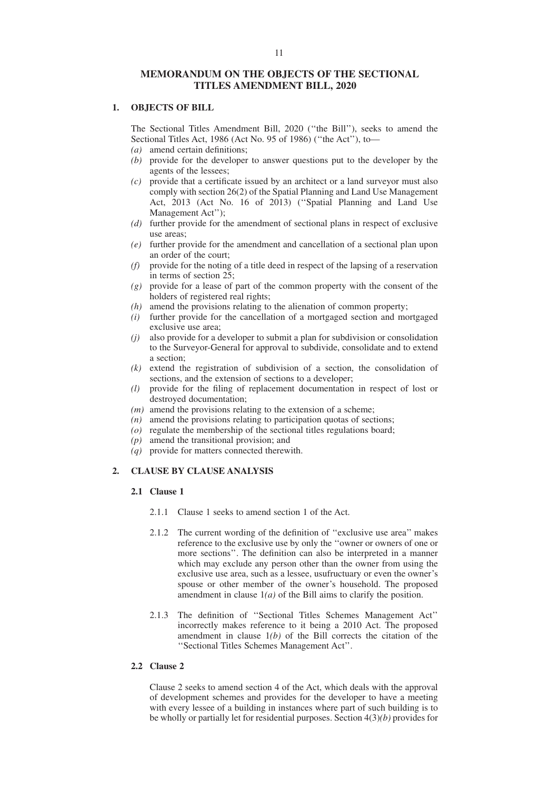## **MEMORANDUM ON THE OBJECTS OF THE SECTIONAL TITLES AMENDMENT BILL, 2020**

#### **1. OBJECTS OF BILL**

The Sectional Titles Amendment Bill, 2020 (''the Bill''), seeks to amend the Sectional Titles Act, 1986 (Act No. 95 of 1986) (''the Act''), to—

- *(a)* amend certain definitions;
- *(b)* provide for the developer to answer questions put to the developer by the agents of the lessees;
- *(c)* provide that a certificate issued by an architect or a land surveyor must also comply with section 26(2) of the Spatial Planning and Land Use Management Act, 2013 (Act No. 16 of 2013) (''Spatial Planning and Land Use Management Act'');
- *(d)* further provide for the amendment of sectional plans in respect of exclusive use areas;
- *(e)* further provide for the amendment and cancellation of a sectional plan upon an order of the court;
- *(f)* provide for the noting of a title deed in respect of the lapsing of a reservation in terms of section 25;
- *(g)* provide for a lease of part of the common property with the consent of the holders of registered real rights;
- *(h)* amend the provisions relating to the alienation of common property;
- *(i)* further provide for the cancellation of a mortgaged section and mortgaged exclusive use area;
- *(j)* also provide for a developer to submit a plan for subdivision or consolidation to the Surveyor-General for approval to subdivide, consolidate and to extend a section;
- *(k)* extend the registration of subdivision of a section, the consolidation of sections, and the extension of sections to a developer;
- *(l)* provide for the filing of replacement documentation in respect of lost or destroyed documentation;
- *(m)* amend the provisions relating to the extension of a scheme;
- *(n)* amend the provisions relating to participation quotas of sections;
- *(o)* regulate the membership of the sectional titles regulations board;
- *(p)* amend the transitional provision; and
- *(q)* provide for matters connected therewith.

## **2. CLAUSE BY CLAUSE ANALYSIS**

#### **2.1 Clause 1**

- 2.1.1 Clause 1 seeks to amend section 1 of the Act.
- 2.1.2 The current wording of the definition of ''exclusive use area'' makes reference to the exclusive use by only the ''owner or owners of one or more sections''. The definition can also be interpreted in a manner which may exclude any person other than the owner from using the exclusive use area, such as a lessee, usufructuary or even the owner's spouse or other member of the owner's household. The proposed amendment in clause 1*(a)* of the Bill aims to clarify the position.
- 2.1.3 The definition of ''Sectional Titles Schemes Management Act'' incorrectly makes reference to it being a 2010 Act. The proposed amendment in clause 1*(b)* of the Bill corrects the citation of the ''Sectional Titles Schemes Management Act''.

### **2.2 Clause 2**

Clause 2 seeks to amend section 4 of the Act, which deals with the approval of development schemes and provides for the developer to have a meeting with every lessee of a building in instances where part of such building is to be wholly or partially let for residential purposes. Section 4(3)*(b)* provides for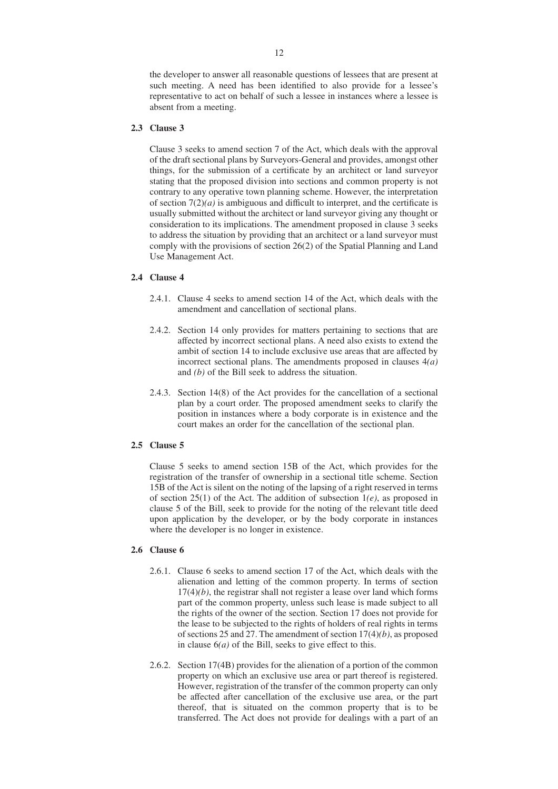the developer to answer all reasonable questions of lessees that are present at such meeting. A need has been identified to also provide for a lessee's representative to act on behalf of such a lessee in instances where a lessee is absent from a meeting.

#### **2.3 Clause 3**

Clause 3 seeks to amend section 7 of the Act, which deals with the approval of the draft sectional plans by Surveyors-General and provides, amongst other things, for the submission of a certificate by an architect or land surveyor stating that the proposed division into sections and common property is not contrary to any operative town planning scheme. However, the interpretation of section  $7(2)(a)$  is ambiguous and difficult to interpret, and the certificate is usually submitted without the architect or land surveyor giving any thought or consideration to its implications. The amendment proposed in clause 3 seeks to address the situation by providing that an architect or a land surveyor must comply with the provisions of section 26(2) of the Spatial Planning and Land Use Management Act.

### **2.4 Clause 4**

- 2.4.1. Clause 4 seeks to amend section 14 of the Act, which deals with the amendment and cancellation of sectional plans.
- 2.4.2. Section 14 only provides for matters pertaining to sections that are affected by incorrect sectional plans. A need also exists to extend the ambit of section 14 to include exclusive use areas that are affected by incorrect sectional plans. The amendments proposed in clauses 4*(a)* and *(b)* of the Bill seek to address the situation.
- 2.4.3. Section 14(8) of the Act provides for the cancellation of a sectional plan by a court order. The proposed amendment seeks to clarify the position in instances where a body corporate is in existence and the court makes an order for the cancellation of the sectional plan.

#### **2.5 Clause 5**

Clause 5 seeks to amend section 15B of the Act, which provides for the registration of the transfer of ownership in a sectional title scheme. Section 15B of the Act is silent on the noting of the lapsing of a right reserved in terms of section 25(1) of the Act. The addition of subsection 1*(e)*, as proposed in clause 5 of the Bill, seek to provide for the noting of the relevant title deed upon application by the developer, or by the body corporate in instances where the developer is no longer in existence.

## **2.6 Clause 6**

- 2.6.1. Clause 6 seeks to amend section 17 of the Act, which deals with the alienation and letting of the common property. In terms of section  $17(4)(b)$ , the registrar shall not register a lease over land which forms part of the common property, unless such lease is made subject to all the rights of the owner of the section. Section 17 does not provide for the lease to be subjected to the rights of holders of real rights in terms of sections 25 and 27. The amendment of section 17(4)*(b)*, as proposed in clause 6*(a)* of the Bill, seeks to give effect to this.
- 2.6.2. Section 17(4B) provides for the alienation of a portion of the common property on which an exclusive use area or part thereof is registered. However, registration of the transfer of the common property can only be affected after cancellation of the exclusive use area, or the part thereof, that is situated on the common property that is to be transferred. The Act does not provide for dealings with a part of an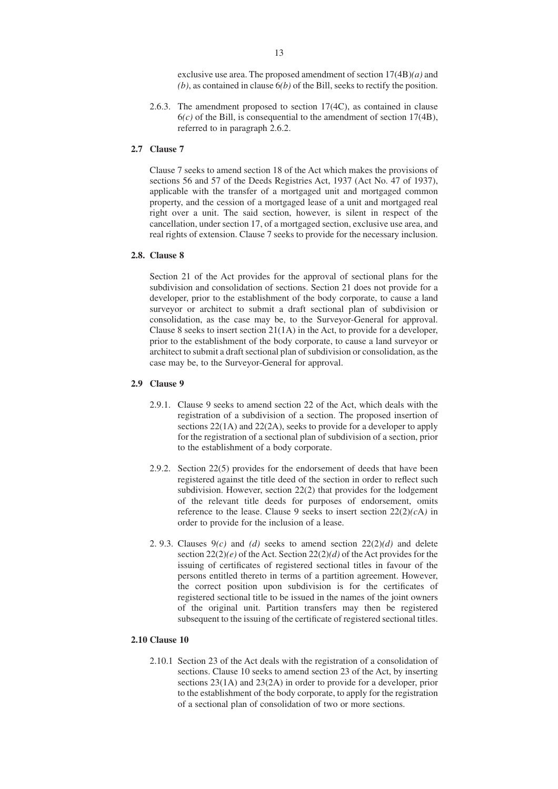exclusive use area. The proposed amendment of section 17(4B)*(a)* and *(b)*, as contained in clause 6*(b)* of the Bill, seeks to rectify the position.

2.6.3. The amendment proposed to section 17(4C), as contained in clause  $6(c)$  of the Bill, is consequential to the amendment of section 17(4B), referred to in paragraph 2.6.2.

## **2.7 Clause 7**

Clause 7 seeks to amend section 18 of the Act which makes the provisions of sections 56 and 57 of the Deeds Registries Act, 1937 (Act No. 47 of 1937), applicable with the transfer of a mortgaged unit and mortgaged common property, and the cession of a mortgaged lease of a unit and mortgaged real right over a unit. The said section, however, is silent in respect of the cancellation, under section 17, of a mortgaged section, exclusive use area, and real rights of extension. Clause 7 seeks to provide for the necessary inclusion.

## **2.8. Clause 8**

Section 21 of the Act provides for the approval of sectional plans for the subdivision and consolidation of sections. Section 21 does not provide for a developer, prior to the establishment of the body corporate, to cause a land surveyor or architect to submit a draft sectional plan of subdivision or consolidation, as the case may be, to the Surveyor-General for approval. Clause 8 seeks to insert section 21(1A) in the Act, to provide for a developer, prior to the establishment of the body corporate, to cause a land surveyor or architect to submit a draft sectional plan of subdivision or consolidation, as the case may be, to the Surveyor-General for approval.

### **2.9 Clause 9**

- 2.9.1. Clause 9 seeks to amend section 22 of the Act, which deals with the registration of a subdivision of a section. The proposed insertion of sections 22(1A) and 22(2A), seeks to provide for a developer to apply for the registration of a sectional plan of subdivision of a section, prior to the establishment of a body corporate.
- 2.9.2. Section 22(5) provides for the endorsement of deeds that have been registered against the title deed of the section in order to reflect such subdivision. However, section 22(2) that provides for the lodgement of the relevant title deeds for purposes of endorsement, omits reference to the lease. Clause 9 seeks to insert section  $22(2)(cA)$  in order to provide for the inclusion of a lease.
- 2. 9.3. Clauses 9*(c)* and *(d)* seeks to amend section 22(2)*(d)* and delete section 22(2)*(e)* of the Act. Section 22(2)*(d)* of the Act provides for the issuing of certificates of registered sectional titles in favour of the persons entitled thereto in terms of a partition agreement. However, the correct position upon subdivision is for the certificates of registered sectional title to be issued in the names of the joint owners of the original unit. Partition transfers may then be registered subsequent to the issuing of the certificate of registered sectional titles.

## **2.10 Clause 10**

2.10.1 Section 23 of the Act deals with the registration of a consolidation of sections. Clause 10 seeks to amend section 23 of the Act, by inserting sections 23(1A) and 23(2A) in order to provide for a developer, prior to the establishment of the body corporate, to apply for the registration of a sectional plan of consolidation of two or more sections.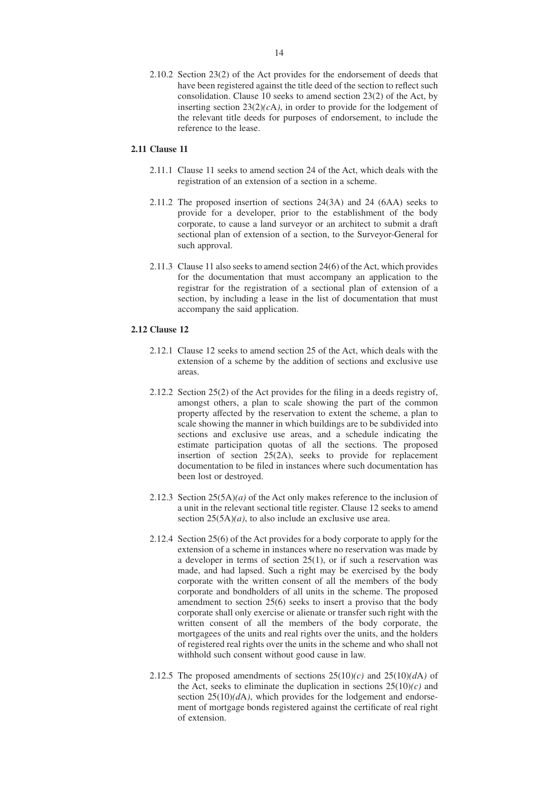2.10.2 Section 23(2) of the Act provides for the endorsement of deeds that have been registered against the title deed of the section to reflect such consolidation. Clause 10 seeks to amend section 23(2) of the Act, by inserting section  $23(2)(c)$ , in order to provide for the lodgement of the relevant title deeds for purposes of endorsement, to include the reference to the lease.

#### **2.11 Clause 11**

- 2.11.1 Clause 11 seeks to amend section 24 of the Act, which deals with the registration of an extension of a section in a scheme.
- 2.11.2 The proposed insertion of sections 24(3A) and 24 (6AA) seeks to provide for a developer, prior to the establishment of the body corporate, to cause a land surveyor or an architect to submit a draft sectional plan of extension of a section, to the Surveyor-General for such approval.
- 2.11.3 Clause 11 also seeks to amend section 24(6) of the Act, which provides for the documentation that must accompany an application to the registrar for the registration of a sectional plan of extension of a section, by including a lease in the list of documentation that must accompany the said application.

## **2.12 Clause 12**

- 2.12.1 Clause 12 seeks to amend section 25 of the Act, which deals with the extension of a scheme by the addition of sections and exclusive use areas.
- 2.12.2 Section 25(2) of the Act provides for the filing in a deeds registry of, amongst others, a plan to scale showing the part of the common property affected by the reservation to extent the scheme, a plan to scale showing the manner in which buildings are to be subdivided into sections and exclusive use areas, and a schedule indicating the estimate participation quotas of all the sections. The proposed insertion of section  $25(2A)$ , seeks to provide for replacement documentation to be filed in instances where such documentation has been lost or destroyed.
- 2.12.3 Section 25(5A)*(a)* of the Act only makes reference to the inclusion of a unit in the relevant sectional title register. Clause 12 seeks to amend section 25(5A)*(a)*, to also include an exclusive use area.
- 2.12.4 Section 25(6) of the Act provides for a body corporate to apply for the extension of a scheme in instances where no reservation was made by a developer in terms of section 25(1), or if such a reservation was made, and had lapsed. Such a right may be exercised by the body corporate with the written consent of all the members of the body corporate and bondholders of all units in the scheme. The proposed amendment to section 25(6) seeks to insert a proviso that the body corporate shall only exercise or alienate or transfer such right with the written consent of all the members of the body corporate, the mortgagees of the units and real rights over the units, and the holders of registered real rights over the units in the scheme and who shall not withhold such consent without good cause in law.
- 2.12.5 The proposed amendments of sections  $25(10)(c)$  and  $25(10)(dA)$  of the Act, seeks to eliminate the duplication in sections  $25(10)(c)$  and section  $25(10)(dA)$ , which provides for the lodgement and endorsement of mortgage bonds registered against the certificate of real right of extension.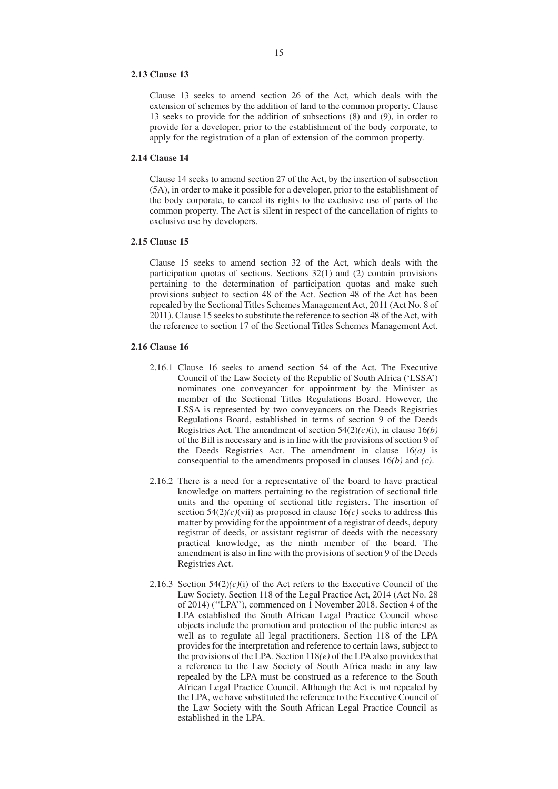#### **2.13 Clause 13**

Clause 13 seeks to amend section 26 of the Act, which deals with the extension of schemes by the addition of land to the common property. Clause 13 seeks to provide for the addition of subsections (8) and (9), in order to provide for a developer, prior to the establishment of the body corporate, to apply for the registration of a plan of extension of the common property.

### **2.14 Clause 14**

Clause 14 seeks to amend section 27 of the Act, by the insertion of subsection (5A), in order to make it possible for a developer, prior to the establishment of the body corporate, to cancel its rights to the exclusive use of parts of the common property. The Act is silent in respect of the cancellation of rights to exclusive use by developers.

### **2.15 Clause 15**

Clause 15 seeks to amend section 32 of the Act, which deals with the participation quotas of sections. Sections 32(1) and (2) contain provisions pertaining to the determination of participation quotas and make such provisions subject to section 48 of the Act. Section 48 of the Act has been repealed by the Sectional Titles Schemes Management Act, 2011 (Act No. 8 of 2011). Clause 15 seeks to substitute the reference to section 48 of the Act, with the reference to section 17 of the Sectional Titles Schemes Management Act.

### **2.16 Clause 16**

- 2.16.1 Clause 16 seeks to amend section 54 of the Act. The Executive Council of the Law Society of the Republic of South Africa ('LSSA') nominates one conveyancer for appointment by the Minister as member of the Sectional Titles Regulations Board. However, the LSSA is represented by two conveyancers on the Deeds Registries Regulations Board, established in terms of section 9 of the Deeds Registries Act. The amendment of section 54(2)*(c)*(i), in clause 16*(b)* of the Bill is necessary and is in line with the provisions of section 9 of the Deeds Registries Act. The amendment in clause 16*(a)* is consequential to the amendments proposed in clauses 16*(b)* and *(c)*.
- 2.16.2 There is a need for a representative of the board to have practical knowledge on matters pertaining to the registration of sectional title units and the opening of sectional title registers. The insertion of section  $54(2)(c)$ (vii) as proposed in clause  $16(c)$  seeks to address this matter by providing for the appointment of a registrar of deeds, deputy registrar of deeds, or assistant registrar of deeds with the necessary practical knowledge, as the ninth member of the board. The amendment is also in line with the provisions of section 9 of the Deeds Registries Act.
- 2.16.3 Section  $54(2)(c)(i)$  of the Act refers to the Executive Council of the Law Society. Section 118 of the Legal Practice Act, 2014 (Act No. 28 of 2014) (''LPA''), commenced on 1 November 2018. Section 4 of the LPA established the South African Legal Practice Council whose objects include the promotion and protection of the public interest as well as to regulate all legal practitioners. Section 118 of the LPA provides for the interpretation and reference to certain laws, subject to the provisions of the LPA. Section 118*(e)* of the LPA also provides that a reference to the Law Society of South Africa made in any law repealed by the LPA must be construed as a reference to the South African Legal Practice Council. Although the Act is not repealed by the LPA, we have substituted the reference to the Executive Council of the Law Society with the South African Legal Practice Council as established in the LPA.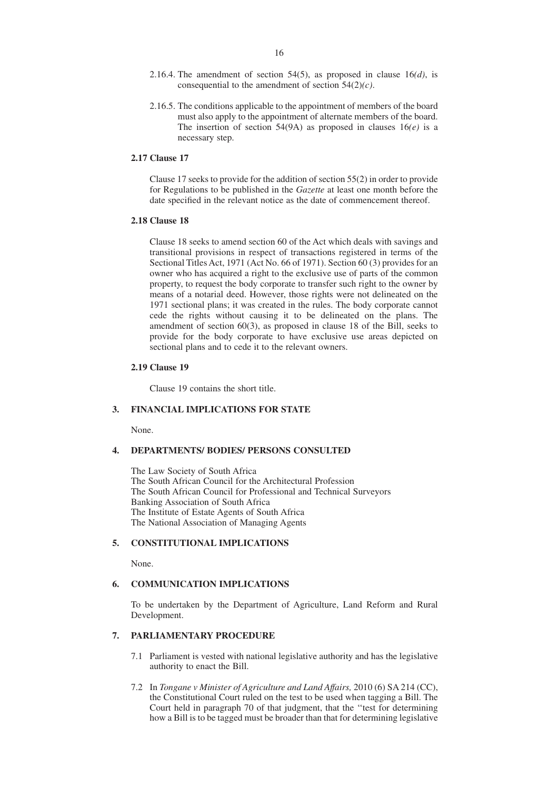- 2.16.4. The amendment of section 54(5), as proposed in clause 16*(d)*, is consequential to the amendment of section 54(2)*(c)*.
- 2.16.5. The conditions applicable to the appointment of members of the board must also apply to the appointment of alternate members of the board. The insertion of section 54(9A) as proposed in clauses  $16(e)$  is a necessary step.

#### **2.17 Clause 17**

Clause 17 seeks to provide for the addition of section 55(2) in order to provide for Regulations to be published in the *Gazette* at least one month before the date specified in the relevant notice as the date of commencement thereof.

#### **2.18 Clause 18**

Clause 18 seeks to amend section 60 of the Act which deals with savings and transitional provisions in respect of transactions registered in terms of the Sectional Titles Act, 1971 (Act No. 66 of 1971). Section 60 (3) provides for an owner who has acquired a right to the exclusive use of parts of the common property, to request the body corporate to transfer such right to the owner by means of a notarial deed. However, those rights were not delineated on the 1971 sectional plans; it was created in the rules. The body corporate cannot cede the rights without causing it to be delineated on the plans. The amendment of section 60(3), as proposed in clause 18 of the Bill, seeks to provide for the body corporate to have exclusive use areas depicted on sectional plans and to cede it to the relevant owners.

#### **2.19 Clause 19**

Clause 19 contains the short title.

## **3. FINANCIAL IMPLICATIONS FOR STATE**

None.

## **4. DEPARTMENTS/ BODIES/ PERSONS CONSULTED**

The Law Society of South Africa The South African Council for the Architectural Profession The South African Council for Professional and Technical Surveyors Banking Association of South Africa The Institute of Estate Agents of South Africa The National Association of Managing Agents

## **5. CONSTITUTIONAL IMPLICATIONS**

None.

## **6. COMMUNICATION IMPLICATIONS**

To be undertaken by the Department of Agriculture, Land Reform and Rural Development.

## **7. PARLIAMENTARY PROCEDURE**

- 7.1 Parliament is vested with national legislative authority and has the legislative authority to enact the Bill.
- 7.2 In *Tongane v Minister of Agriculture and Land Affairs,* 2010 (6) SA 214 (CC), the Constitutional Court ruled on the test to be used when tagging a Bill. The Court held in paragraph 70 of that judgment, that the ''test for determining how a Bill is to be tagged must be broader than that for determining legislative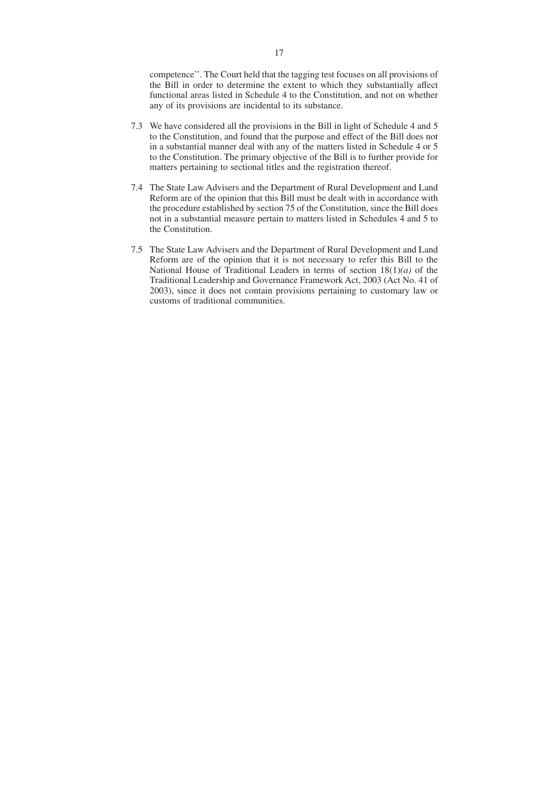competence''. The Court held that the tagging test focuses on all provisions of the Bill in order to determine the extent to which they substantially affect functional areas listed in Schedule 4 to the Constitution, and not on whether any of its provisions are incidental to its substance.

- 7.3 We have considered all the provisions in the Bill in light of Schedule 4 and 5 to the Constitution, and found that the purpose and effect of the Bill does not in a substantial manner deal with any of the matters listed in Schedule 4 or 5 to the Constitution. The primary objective of the Bill is to further provide for matters pertaining to sectional titles and the registration thereof.
- 7.4 The State Law Advisers and the Department of Rural Development and Land Reform are of the opinion that this Bill must be dealt with in accordance with the procedure established by section 75 of the Constitution, since the Bill does not in a substantial measure pertain to matters listed in Schedules 4 and 5 to the Constitution.
- 7.5 The State Law Advisers and the Department of Rural Development and Land Reform are of the opinion that it is not necessary to refer this Bill to the National House of Traditional Leaders in terms of section 18(1)*(a)* of the Traditional Leadership and Governance Framework Act, 2003 (Act No. 41 of 2003), since it does not contain provisions pertaining to customary law or customs of traditional communities.